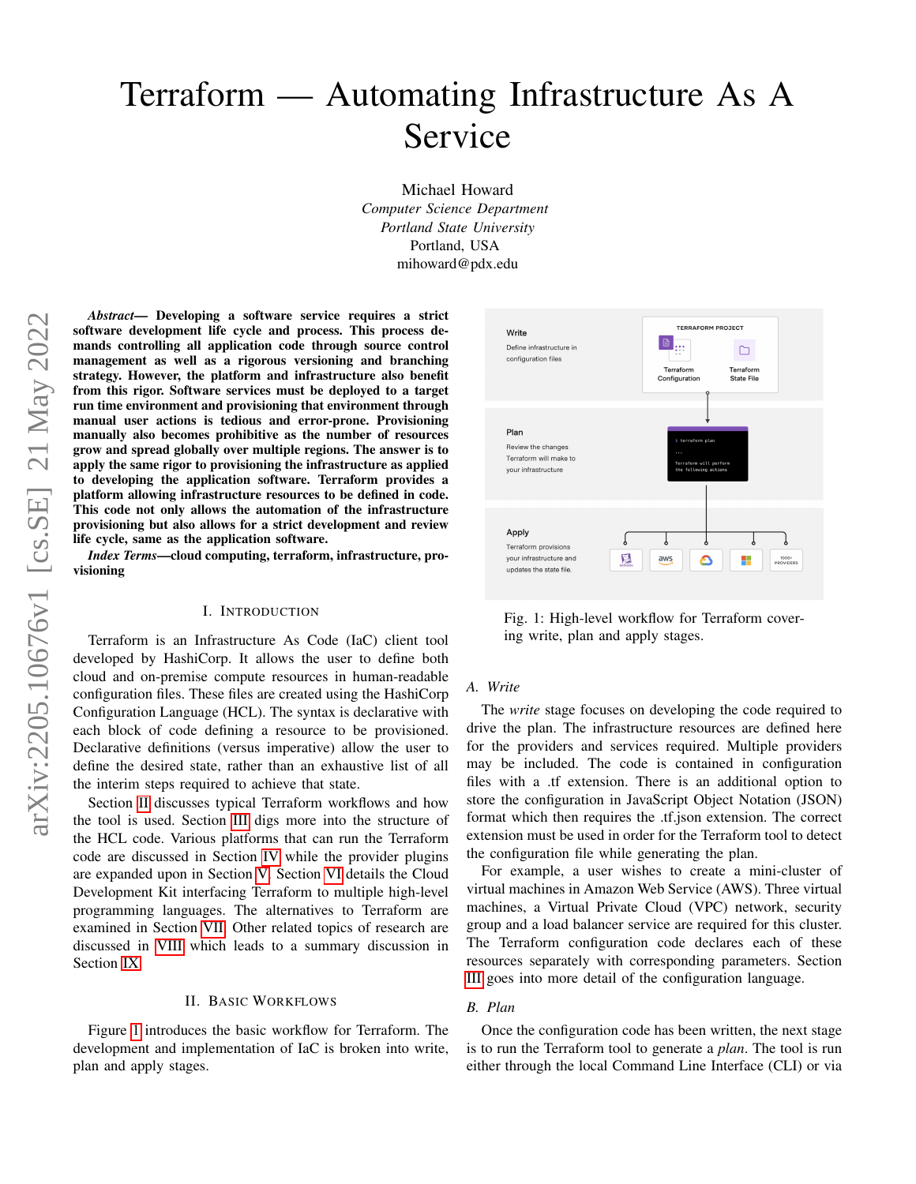# Terraform — Automating Infrastructure As A Service

Michael Howard *Computer Science Department Portland State University* Portland, USA mihoward@pdx.edu

*Abstract*— Developing a software service requires a strict software development life cycle and process. This process demands controlling all application code through source control management as well as a rigorous versioning and branching strategy. However, the platform and infrastructure also benefit from this rigor. Software services must be deployed to a target run time environment and provisioning that environment through manual user actions is tedious and error-prone. Provisioning manually also becomes prohibitive as the number of resources grow and spread globally over multiple regions. The answer is to apply the same rigor to provisioning the infrastructure as applied to developing the application software. Terraform provides a platform allowing infrastructure resources to be defined in code. This code not only allows the automation of the infrastructure provisioning but also allows for a strict development and review life cycle, same as the application software.

*Index Terms*—cloud computing, terraform, infrastructure, provisioning

## I. INTRODUCTION

Terraform is an Infrastructure As Code (IaC) client tool developed by HashiCorp. It allows the user to define both cloud and on-premise compute resources in human-readable configuration files. These files are created using the HashiCorp Configuration Language (HCL). The syntax is declarative with each block of code defining a resource to be provisioned. Declarative definitions (versus imperative) allow the user to define the desired state, rather than an exhaustive list of all the interim steps required to achieve that state.

Section [II](#page-0-0) discusses typical Terraform workflows and how the tool is used. Section [III](#page-1-0) digs more into the structure of the HCL code. Various platforms that can run the Terraform code are discussed in Section [IV](#page-1-1) while the provider plugins are expanded upon in Section [V.](#page-2-0) Section [VI](#page-2-1) details the Cloud Development Kit interfacing Terraform to multiple high-level programming languages. The alternatives to Terraform are examined in Section [VII.](#page-2-2) Other related topics of research are discussed in [VIII](#page-3-0) which leads to a summary discussion in Section [IX.](#page-4-0)

## II. BASIC WORKFLOWS

<span id="page-0-0"></span>Figure [1](#page-0-1) introduces the basic workflow for Terraform. The development and implementation of IaC is broken into write, plan and apply stages.

<span id="page-0-1"></span>

Fig. 1: High-level workflow for Terraform covering write, plan and apply stages.

## *A. Write*

The *write* stage focuses on developing the code required to drive the plan. The infrastructure resources are defined here for the providers and services required. Multiple providers may be included. The code is contained in configuration files with a .tf extension. There is an additional option to store the configuration in JavaScript Object Notation (JSON) format which then requires the .tf.json extension. The correct extension must be used in order for the Terraform tool to detect the configuration file while generating the plan.

For example, a user wishes to create a mini-cluster of virtual machines in Amazon Web Service (AWS). Three virtual machines, a Virtual Private Cloud (VPC) network, security group and a load balancer service are required for this cluster. The Terraform configuration code declares each of these resources separately with corresponding parameters. Section [III](#page-1-0) goes into more detail of the configuration language.

## *B. Plan*

Once the configuration code has been written, the next stage is to run the Terraform tool to generate a *plan*. The tool is run either through the local Command Line Interface (CLI) or via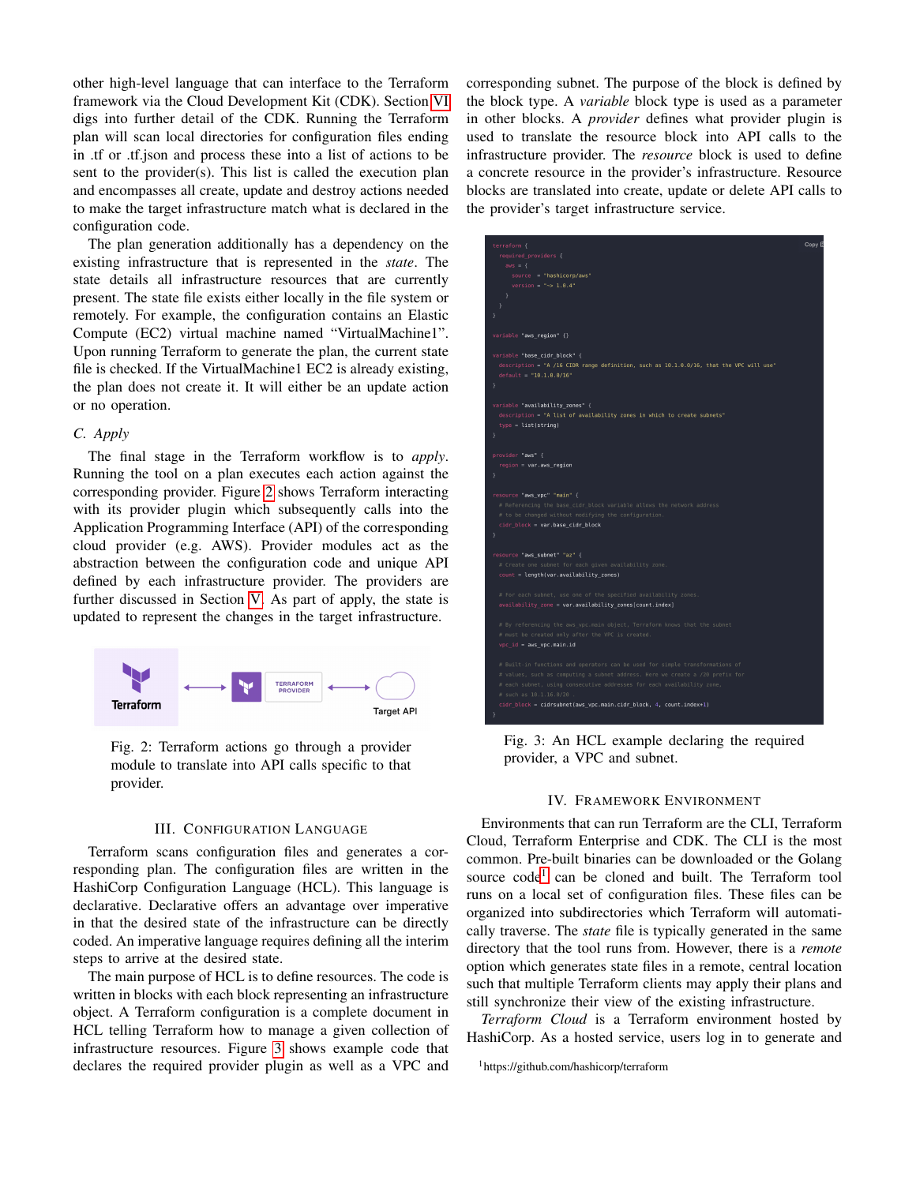other high-level language that can interface to the Terraform framework via the Cloud Development Kit (CDK). Section [VI](#page-2-1) digs into further detail of the CDK. Running the Terraform plan will scan local directories for configuration files ending in .tf or .tf.json and process these into a list of actions to be sent to the provider(s). This list is called the execution plan and encompasses all create, update and destroy actions needed to make the target infrastructure match what is declared in the configuration code.

The plan generation additionally has a dependency on the existing infrastructure that is represented in the *state*. The state details all infrastructure resources that are currently present. The state file exists either locally in the file system or remotely. For example, the configuration contains an Elastic Compute (EC2) virtual machine named "VirtualMachine1". Upon running Terraform to generate the plan, the current state file is checked. If the VirtualMachine1 EC2 is already existing, the plan does not create it. It will either be an update action or no operation.

# *C. Apply*

The final stage in the Terraform workflow is to *apply*. Running the tool on a plan executes each action against the corresponding provider. Figure [2](#page-1-2) shows Terraform interacting with its provider plugin which subsequently calls into the Application Programming Interface (API) of the corresponding cloud provider (e.g. AWS). Provider modules act as the abstraction between the configuration code and unique API defined by each infrastructure provider. The providers are further discussed in Section [V.](#page-2-0) As part of apply, the state is updated to represent the changes in the target infrastructure.

<span id="page-1-2"></span>

Fig. 2: Terraform actions go through a provider module to translate into API calls specific to that provider.

# III. CONFIGURATION LANGUAGE

<span id="page-1-0"></span>Terraform scans configuration files and generates a corresponding plan. The configuration files are written in the HashiCorp Configuration Language (HCL). This language is declarative. Declarative offers an advantage over imperative in that the desired state of the infrastructure can be directly coded. An imperative language requires defining all the interim steps to arrive at the desired state.

The main purpose of HCL is to define resources. The code is written in blocks with each block representing an infrastructure object. A Terraform configuration is a complete document in HCL telling Terraform how to manage a given collection of infrastructure resources. Figure [3](#page-1-3) shows example code that declares the required provider plugin as well as a VPC and corresponding subnet. The purpose of the block is defined by the block type. A *variable* block type is used as a parameter in other blocks. A *provider* defines what provider plugin is used to translate the resource block into API calls to the infrastructure provider. The *resource* block is used to define a concrete resource in the provider's infrastructure. Resource blocks are translated into create, update or delete API calls to the provider's target infrastructure service.

<span id="page-1-3"></span>

| terraform {                                                                                | Copy E |
|--------------------------------------------------------------------------------------------|--------|
| required providers {                                                                       |        |
| $aws = \{$                                                                                 |        |
| source "hashicorp/aws"                                                                     |        |
| version = $"-> 1.0.4"$                                                                     |        |
| $\rightarrow$                                                                              |        |
| $\mathcal{P}$                                                                              |        |
| $\mathcal{Y}$                                                                              |        |
| variable "aws region" {}                                                                   |        |
| variable "base cidr block" {                                                               |        |
| description = "A /16 CIDR range definition, such as 10.1.0.0/16, that the VPC will use"    |        |
| $default = "10.1.0.0/16"$                                                                  |        |
| Ŷ                                                                                          |        |
|                                                                                            |        |
| variable "availability_zones" {                                                            |        |
| description = "A list of availability zones in which to create subnets"                    |        |
| $type = list(string)$                                                                      |        |
| <sup>1</sup>                                                                               |        |
| provider "aws" {                                                                           |        |
| $region = var.aws region$                                                                  |        |
| <sup>1</sup>                                                                               |        |
|                                                                                            |        |
| resource "aws_vpc" "main" {                                                                |        |
| # Referencing the base cidr block variable allows the network address                      |        |
| # to be changed without modifying the configuration.                                       |        |
| cidr block = var.base cidr block                                                           |        |
| $\mathcal{F}$                                                                              |        |
| resource "aws_subnet "az" {                                                                |        |
| # Create one subnet for each given availability zone.                                      |        |
| count = length(var.availability_zones)                                                     |        |
|                                                                                            |        |
| # For each subnet, use one of the specified availability zones.                            |        |
| availability_zone = var.availability_zones[count.index]                                    |        |
|                                                                                            |        |
| # By referencing the aws vpc.main object, Terraform knows that the subnet                  |        |
| # must be created only after the VPC is created.<br>$vpc$ id = aws $vpc.mainloop$ .main.id |        |
|                                                                                            |        |
| # Built-in functions and operators can be used for simple transformations of               |        |
| # values, such as computing a subnet address. Here we create a /20 prefix for              |        |
| # each subnet, using consecutive addresses for each availability zone,                     |        |
| # such as 10.1.16.0/20.                                                                    |        |
| cidr block = cidrsubnet(aws vpc.main.cidr block, 4, count.index+1)                         |        |
| Y                                                                                          |        |
|                                                                                            |        |

Fig. 3: An HCL example declaring the required provider, a VPC and subnet.

## IV. FRAMEWORK ENVIRONMENT

<span id="page-1-1"></span>Environments that can run Terraform are the CLI, Terraform Cloud, Terraform Enterprise and CDK. The CLI is the most common. Pre-built binaries can be downloaded or the Golang source code<sup>[1](#page-1-4)</sup> can be cloned and built. The Terraform tool runs on a local set of configuration files. These files can be organized into subdirectories which Terraform will automatically traverse. The *state* file is typically generated in the same directory that the tool runs from. However, there is a *remote* option which generates state files in a remote, central location such that multiple Terraform clients may apply their plans and still synchronize their view of the existing infrastructure.

*Terraform Cloud* is a Terraform environment hosted by HashiCorp. As a hosted service, users log in to generate and

<span id="page-1-4"></span><sup>1</sup>https://github.com/hashicorp/terraform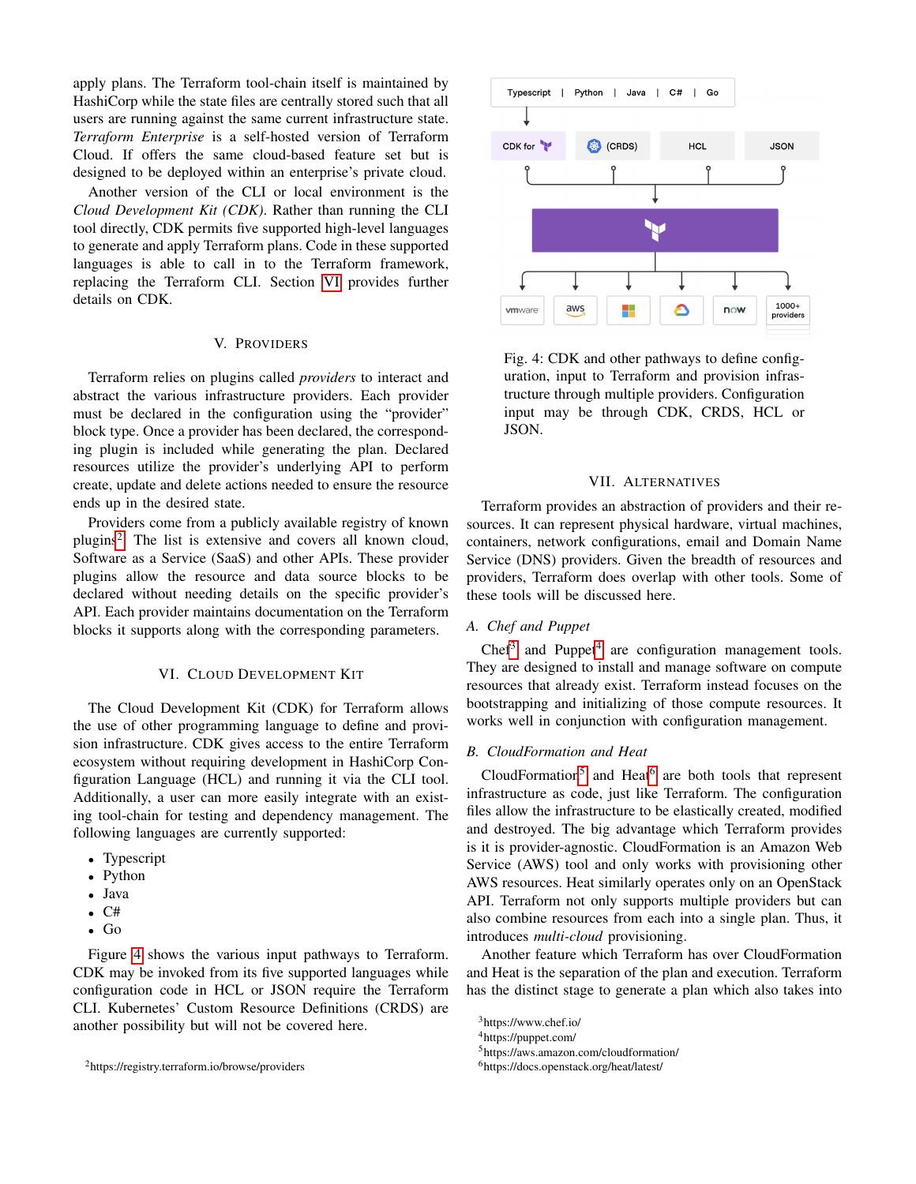apply plans. The Terraform tool-chain itself is maintained by HashiCorp while the state files are centrally stored such that all users are running against the same current infrastructure state. *Terraform Enterprise* is a self-hosted version of Terraform Cloud. If offers the same cloud-based feature set but is designed to be deployed within an enterprise's private cloud.

Another version of the CLI or local environment is the *Cloud Development Kit (CDK)*. Rather than running the CLI tool directly, CDK permits five supported high-level languages to generate and apply Terraform plans. Code in these supported languages is able to call in to the Terraform framework, replacing the Terraform CLI. Section [VI](#page-2-1) provides further details on CDK.

# V. PROVIDERS

<span id="page-2-0"></span>Terraform relies on plugins called *providers* to interact and abstract the various infrastructure providers. Each provider must be declared in the configuration using the "provider" block type. Once a provider has been declared, the corresponding plugin is included while generating the plan. Declared resources utilize the provider's underlying API to perform create, update and delete actions needed to ensure the resource ends up in the desired state.

Providers come from a publicly available registry of known plugins<sup>[2](#page-2-3)</sup>. The list is extensive and covers all known cloud, Software as a Service (SaaS) and other APIs. These provider plugins allow the resource and data source blocks to be declared without needing details on the specific provider's API. Each provider maintains documentation on the Terraform blocks it supports along with the corresponding parameters.

## VI. CLOUD DEVELOPMENT KIT

<span id="page-2-1"></span>The Cloud Development Kit (CDK) for Terraform allows the use of other programming language to define and provision infrastructure. CDK gives access to the entire Terraform ecosystem without requiring development in HashiCorp Configuration Language (HCL) and running it via the CLI tool. Additionally, a user can more easily integrate with an existing tool-chain for testing and dependency management. The following languages are currently supported:

- Typescript
- Python
- Java
- $\bullet$  C#
- Go

Figure [4](#page-2-4) shows the various input pathways to Terraform. CDK may be invoked from its five supported languages while configuration code in HCL or JSON require the Terraform CLI. Kubernetes' Custom Resource Definitions (CRDS) are another possibility but will not be covered here.

<span id="page-2-4"></span>

Fig. 4: CDK and other pathways to define configuration, input to Terraform and provision infrastructure through multiple providers. Configuration input may be through CDK, CRDS, HCL or JSON.

#### VII. ALTERNATIVES

<span id="page-2-2"></span>Terraform provides an abstraction of providers and their resources. It can represent physical hardware, virtual machines, containers, network configurations, email and Domain Name Service (DNS) providers. Given the breadth of resources and providers, Terraform does overlap with other tools. Some of these tools will be discussed here.

# *A. Chef and Puppet*

Chef<sup>[3](#page-2-5)</sup> and Puppet<sup>[4](#page-2-6)</sup> are configuration management tools. They are designed to install and manage software on compute resources that already exist. Terraform instead focuses on the bootstrapping and initializing of those compute resources. It works well in conjunction with configuration management.

# *B. CloudFormation and Heat*

CloudFormation<sup>[5](#page-2-7)</sup> and Heat<sup>[6](#page-2-8)</sup> are both tools that represent infrastructure as code, just like Terraform. The configuration files allow the infrastructure to be elastically created, modified and destroyed. The big advantage which Terraform provides is it is provider-agnostic. CloudFormation is an Amazon Web Service (AWS) tool and only works with provisioning other AWS resources. Heat similarly operates only on an OpenStack API. Terraform not only supports multiple providers but can also combine resources from each into a single plan. Thus, it introduces *multi-cloud* provisioning.

Another feature which Terraform has over CloudFormation and Heat is the separation of the plan and execution. Terraform has the distinct stage to generate a plan which also takes into

<span id="page-2-6"></span><sup>4</sup>https://puppet.com/

<span id="page-2-3"></span><sup>2</sup>https://registry.terraform.io/browse/providers

<span id="page-2-5"></span><sup>3</sup>https://www.chef.io/

<span id="page-2-8"></span><span id="page-2-7"></span><sup>5</sup>https://aws.amazon.com/cloudformation/

<sup>6</sup>https://docs.openstack.org/heat/latest/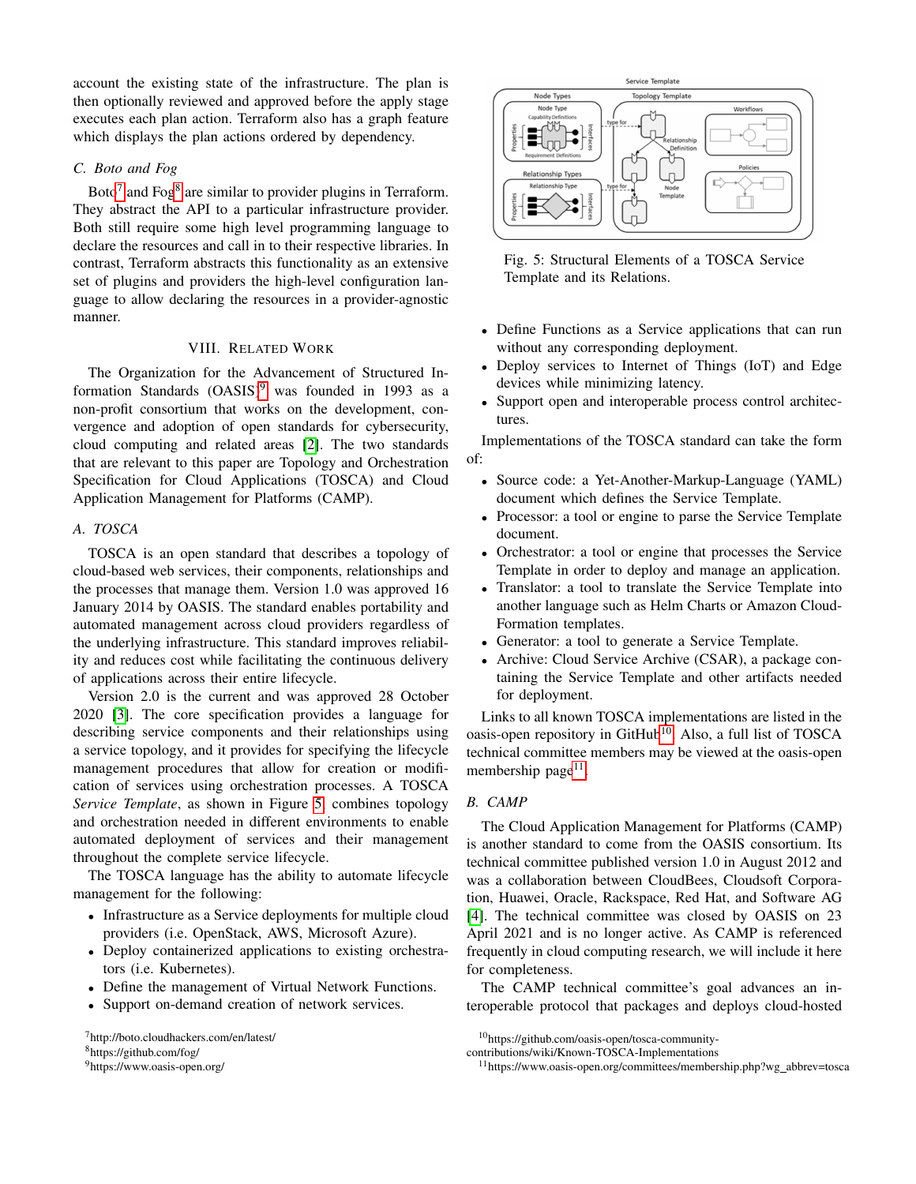account the existing state of the infrastructure. The plan is then optionally reviewed and approved before the apply stage executes each plan action. Terraform also has a graph feature which displays the plan actions ordered by dependency.

# *C. Boto and Fog*

Boto<sup>[7](#page-3-1)</sup> and Fog $^8$  $^8$  are similar to provider plugins in Terraform. They abstract the API to a particular infrastructure provider. Both still require some high level programming language to declare the resources and call in to their respective libraries. In contrast, Terraform abstracts this functionality as an extensive set of plugins and providers the high-level configuration language to allow declaring the resources in a provider-agnostic manner.

# VIII. RELATED WORK

<span id="page-3-0"></span>The Organization for the Advancement of Structured Information Standards  $(OASIS)^9$  $(OASIS)^9$  was founded in 1993 as a non-profit consortium that works on the development, convergence and adoption of open standards for cybersecurity, cloud computing and related areas [\[2\]](#page-4-1). The two standards that are relevant to this paper are Topology and Orchestration Specification for Cloud Applications (TOSCA) and Cloud Application Management for Platforms (CAMP).

# *A. TOSCA*

TOSCA is an open standard that describes a topology of cloud-based web services, their components, relationships and the processes that manage them. Version 1.0 was approved 16 January 2014 by OASIS. The standard enables portability and automated management across cloud providers regardless of the underlying infrastructure. This standard improves reliability and reduces cost while facilitating the continuous delivery of applications across their entire lifecycle.

Version 2.0 is the current and was approved 28 October 2020 [\[3\]](#page-4-2). The core specification provides a language for describing service components and their relationships using a service topology, and it provides for specifying the lifecycle management procedures that allow for creation or modification of services using orchestration processes. A TOSCA *Service Template*, as shown in Figure [5,](#page-3-4) combines topology and orchestration needed in different environments to enable automated deployment of services and their management throughout the complete service lifecycle.

The TOSCA language has the ability to automate lifecycle management for the following:

- Infrastructure as a Service deployments for multiple cloud providers (i.e. OpenStack, AWS, Microsoft Azure).
- Deploy containerized applications to existing orchestrators (i.e. Kubernetes).
- Define the management of Virtual Network Functions.
- Support on-demand creation of network services.

<span id="page-3-1"></span><sup>7</sup>http://boto.cloudhackers.com/en/latest/

<span id="page-3-2"></span><sup>8</sup>https://github.com/fog/

<span id="page-3-3"></span><sup>9</sup>https://www.oasis-open.org/

<span id="page-3-4"></span>

Fig. 5: Structural Elements of a TOSCA Service Template and its Relations.

- Define Functions as a Service applications that can run without any corresponding deployment.
- Deploy services to Internet of Things (IoT) and Edge devices while minimizing latency.
- Support open and interoperable process control architectures.

Implementations of the TOSCA standard can take the form of:

- Source code: a Yet-Another-Markup-Language (YAML) document which defines the Service Template.
- Processor: a tool or engine to parse the Service Template document.
- Orchestrator: a tool or engine that processes the Service Template in order to deploy and manage an application.
- Translator: a tool to translate the Service Template into another language such as Helm Charts or Amazon Cloud-Formation templates.
- Generator: a tool to generate a Service Template.
- Archive: Cloud Service Archive (CSAR), a package containing the Service Template and other artifacts needed for deployment.

Links to all known TOSCA implementations are listed in the oasis-open repository in GitHub<sup>[10](#page-3-5)</sup>. Also, a full list of TOSCA technical committee members may be viewed at the oasis-open membership page<sup>[11](#page-3-6)</sup>.

## *B. CAMP*

The Cloud Application Management for Platforms (CAMP) is another standard to come from the OASIS consortium. Its technical committee published version 1.0 in August 2012 and was a collaboration between CloudBees, Cloudsoft Corporation, Huawei, Oracle, Rackspace, Red Hat, and Software AG [\[4\]](#page-4-3). The technical committee was closed by OASIS on 23 April 2021 and is no longer active. As CAMP is referenced frequently in cloud computing research, we will include it here for completeness.

The CAMP technical committee's goal advances an interoperable protocol that packages and deploys cloud-hosted

<span id="page-3-5"></span><sup>10</sup>https://github.com/oasis-open/tosca-community-

contributions/wiki/Known-TOSCA-Implementations

<span id="page-3-6"></span><sup>&</sup>lt;sup>11</sup>https://www.oasis-open.org/committees/membership.php?wg\_abbrev=tosca